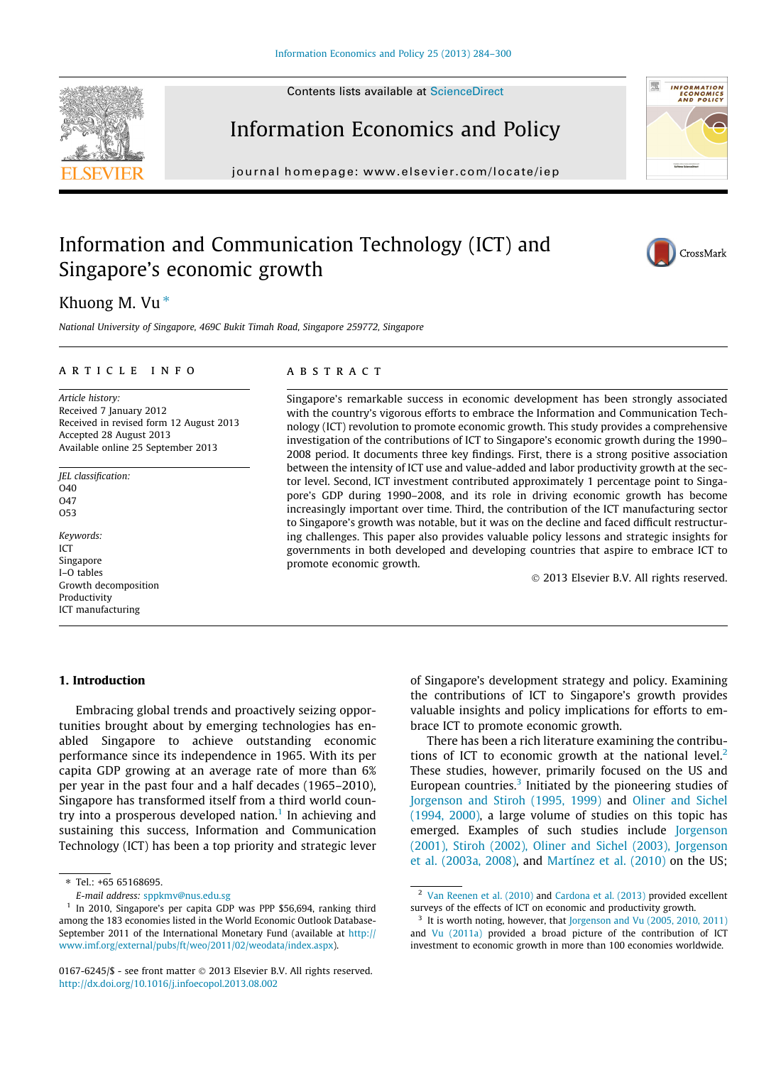Contents lists available at [ScienceDirect](http://www.sciencedirect.com/science/journal/01676245)





journal homepage: [www.elsevier.com/locate/iep](http://www.elsevier.com/locate/iep)



CrossMark

## Information and Communication Technology (ICT) and Singapore's economic growth

### Khuong M. Vu $*$

National University of Singapore, 469C Bukit Timah Road, Singapore 259772, Singapore

#### article info

Article history: Received 7 January 2012 Received in revised form 12 August 2013 Accepted 28 August 2013 Available online 25 September 2013

JEL classification: O40 O47 O53

Keywords: ICT Singapore I–O tables Growth decomposition Productivity ICT manufacturing

#### **ABSTRACT**

Singapore's remarkable success in economic development has been strongly associated with the country's vigorous efforts to embrace the Information and Communication Technology (ICT) revolution to promote economic growth. This study provides a comprehensive investigation of the contributions of ICT to Singapore's economic growth during the 1990– 2008 period. It documents three key findings. First, there is a strong positive association between the intensity of ICT use and value-added and labor productivity growth at the sector level. Second, ICT investment contributed approximately 1 percentage point to Singapore's GDP during 1990–2008, and its role in driving economic growth has become increasingly important over time. Third, the contribution of the ICT manufacturing sector to Singapore's growth was notable, but it was on the decline and faced difficult restructuring challenges. This paper also provides valuable policy lessons and strategic insights for governments in both developed and developing countries that aspire to embrace ICT to promote economic growth.

- 2013 Elsevier B.V. All rights reserved.

#### 1. Introduction

Embracing global trends and proactively seizing opportunities brought about by emerging technologies has enabled Singapore to achieve outstanding economic performance since its independence in 1965. With its per capita GDP growing at an average rate of more than 6% per year in the past four and a half decades (1965–2010), Singapore has transformed itself from a third world country into a prosperous developed nation.<sup>1</sup> In achieving and sustaining this success, Information and Communication Technology (ICT) has been a top priority and strategic lever

E-mail address: [sppkmv@nus.edu.sg](mailto:sppkmv@nus.edu.sg)

of Singapore's development strategy and policy. Examining the contributions of ICT to Singapore's growth provides valuable insights and policy implications for efforts to embrace ICT to promote economic growth.

There has been a rich literature examining the contributions of ICT to economic growth at the national level.<sup>2</sup> These studies, however, primarily focused on the US and European countries. $3$  Initiated by the pioneering studies of [Jorgenson and Stiroh \(1995, 1999\)](#page--1-0) and [Oliner and Sichel](#page--1-0) [\(1994, 2000\),](#page--1-0) a large volume of studies on this topic has emerged. Examples of such studies include [Jorgenson](#page--1-0) [\(2001\), Stiroh \(2002\), Oliner and Sichel \(2003\), Jorgenson](#page--1-0) [et al. \(2003a, 2008\),](#page--1-0) and [Martínez et al. \(2010\)](#page--1-0) on the US;

 $*$  Tel: +65 65168695

<sup>&</sup>lt;sup>1</sup> In 2010, Singapore's per capita GDP was PPP \$56,694, ranking third among the 183 economies listed in the World Economic Outlook DatabaseSeptember 2011 of the International Monetary Fund (available at [http://](http://www.imf.org/external/pubs/ft/weo/2011/02/weodata/index.aspx) [www.imf.org/external/pubs/ft/weo/2011/02/weodata/index.aspx](http://www.imf.org/external/pubs/ft/weo/2011/02/weodata/index.aspx)).

<sup>0167-6245/\$ -</sup> see front matter © 2013 Elsevier B.V. All rights reserved. <http://dx.doi.org/10.1016/j.infoecopol.2013.08.002>

<sup>&</sup>lt;sup>2</sup> [Van Reenen et al. \(2010\)](#page--1-0) and [Cardona et al. \(2013\)](#page--1-0) provided excellent surveys of the effects of ICT on economic and productivity growth.

<sup>&</sup>lt;sup>3</sup> It is worth noting, however, that [Jorgenson and Vu \(2005, 2010, 2011\)](#page--1-0) and [Vu \(2011a\)](#page--1-0) provided a broad picture of the contribution of ICT investment to economic growth in more than 100 economies worldwide.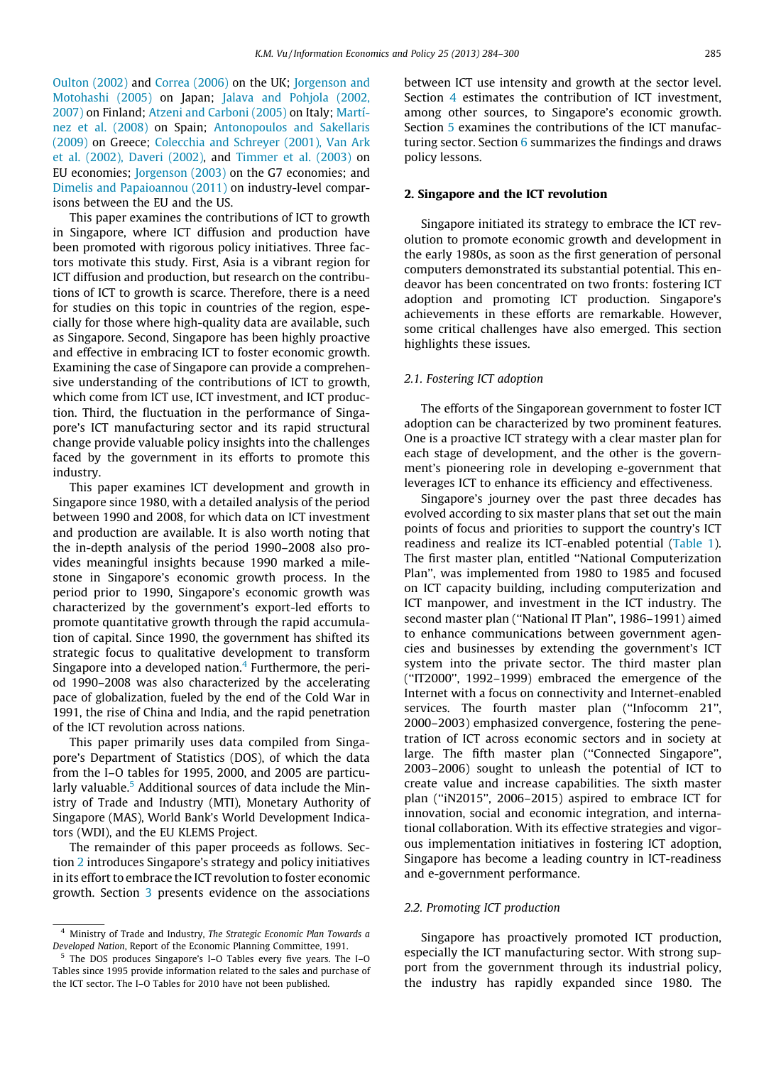[Oulton \(2002\)](#page--1-0) and [Correa \(2006\)](#page--1-0) on the UK; [Jorgenson and](#page--1-0) [Motohashi \(2005\)](#page--1-0) on Japan; [Jalava and Pohjola \(2002,](#page--1-0) [2007\)](#page--1-0) on Finland; [Atzeni and Carboni \(2005\)](#page--1-0) on Italy; [Martí](#page--1-0)[nez et al. \(2008\)](#page--1-0) on Spain; [Antonopoulos and Sakellaris](#page--1-0) [\(2009\)](#page--1-0) on Greece; [Colecchia and Schreyer \(2001\), Van Ark](#page--1-0) [et al. \(2002\), Daveri \(2002\),](#page--1-0) and [Timmer et al. \(2003\)](#page--1-0) on EU economies; [Jorgenson \(2003\)](#page--1-0) on the G7 economies; and [Dimelis and Papaioannou \(2011\)](#page--1-0) on industry-level comparisons between the EU and the US.

This paper examines the contributions of ICT to growth in Singapore, where ICT diffusion and production have been promoted with rigorous policy initiatives. Three factors motivate this study. First, Asia is a vibrant region for ICT diffusion and production, but research on the contributions of ICT to growth is scarce. Therefore, there is a need for studies on this topic in countries of the region, especially for those where high-quality data are available, such as Singapore. Second, Singapore has been highly proactive and effective in embracing ICT to foster economic growth. Examining the case of Singapore can provide a comprehensive understanding of the contributions of ICT to growth, which come from ICT use, ICT investment, and ICT production. Third, the fluctuation in the performance of Singapore's ICT manufacturing sector and its rapid structural change provide valuable policy insights into the challenges faced by the government in its efforts to promote this industry.

This paper examines ICT development and growth in Singapore since 1980, with a detailed analysis of the period between 1990 and 2008, for which data on ICT investment and production are available. It is also worth noting that the in-depth analysis of the period 1990–2008 also provides meaningful insights because 1990 marked a milestone in Singapore's economic growth process. In the period prior to 1990, Singapore's economic growth was characterized by the government's export-led efforts to promote quantitative growth through the rapid accumulation of capital. Since 1990, the government has shifted its strategic focus to qualitative development to transform Singapore into a developed nation. $4$  Furthermore, the period 1990–2008 was also characterized by the accelerating pace of globalization, fueled by the end of the Cold War in 1991, the rise of China and India, and the rapid penetration of the ICT revolution across nations.

This paper primarily uses data compiled from Singapore's Department of Statistics (DOS), of which the data from the I–O tables for 1995, 2000, and 2005 are particularly valuable.<sup>5</sup> Additional sources of data include the Ministry of Trade and Industry (MTI), Monetary Authority of Singapore (MAS), World Bank's World Development Indicators (WDI), and the EU KLEMS Project.

The remainder of this paper proceeds as follows. Section 2 introduces Singapore's strategy and policy initiatives in its effort to embrace the ICT revolution to foster economic growth. Section [3](#page--1-0) presents evidence on the associations between ICT use intensity and growth at the sector level. Section [4](#page--1-0) estimates the contribution of ICT investment, among other sources, to Singapore's economic growth. Section [5](#page--1-0) examines the contributions of the ICT manufacturing sector. Section [6](#page--1-0) summarizes the findings and draws policy lessons.

#### 2. Singapore and the ICT revolution

Singapore initiated its strategy to embrace the ICT revolution to promote economic growth and development in the early 1980s, as soon as the first generation of personal computers demonstrated its substantial potential. This endeavor has been concentrated on two fronts: fostering ICT adoption and promoting ICT production. Singapore's achievements in these efforts are remarkable. However, some critical challenges have also emerged. This section highlights these issues.

#### 2.1. Fostering ICT adoption

The efforts of the Singaporean government to foster ICT adoption can be characterized by two prominent features. One is a proactive ICT strategy with a clear master plan for each stage of development, and the other is the government's pioneering role in developing e-government that leverages ICT to enhance its efficiency and effectiveness.

Singapore's journey over the past three decades has evolved according to six master plans that set out the main points of focus and priorities to support the country's ICT readiness and realize its ICT-enabled potential [\(Table 1](#page--1-0)). The first master plan, entitled ''National Computerization Plan'', was implemented from 1980 to 1985 and focused on ICT capacity building, including computerization and ICT manpower, and investment in the ICT industry. The second master plan (''National IT Plan'', 1986–1991) aimed to enhance communications between government agencies and businesses by extending the government's ICT system into the private sector. The third master plan (''IT2000'', 1992–1999) embraced the emergence of the Internet with a focus on connectivity and Internet-enabled services. The fourth master plan (''Infocomm 21'', 2000–2003) emphasized convergence, fostering the penetration of ICT across economic sectors and in society at large. The fifth master plan ("Connected Singapore", 2003–2006) sought to unleash the potential of ICT to create value and increase capabilities. The sixth master plan (''iN2015'', 2006–2015) aspired to embrace ICT for innovation, social and economic integration, and international collaboration. With its effective strategies and vigorous implementation initiatives in fostering ICT adoption, Singapore has become a leading country in ICT-readiness and e-government performance.

#### 2.2. Promoting ICT production

Singapore has proactively promoted ICT production, especially the ICT manufacturing sector. With strong support from the government through its industrial policy, the industry has rapidly expanded since 1980. The

<sup>4</sup> Ministry of Trade and Industry, The Strategic Economic Plan Towards a Developed Nation, Report of the Economic Planning Committee, 1991.

<sup>5</sup> The DOS produces Singapore's I–O Tables every five years. The I–O Tables since 1995 provide information related to the sales and purchase of the ICT sector. The I–O Tables for 2010 have not been published.